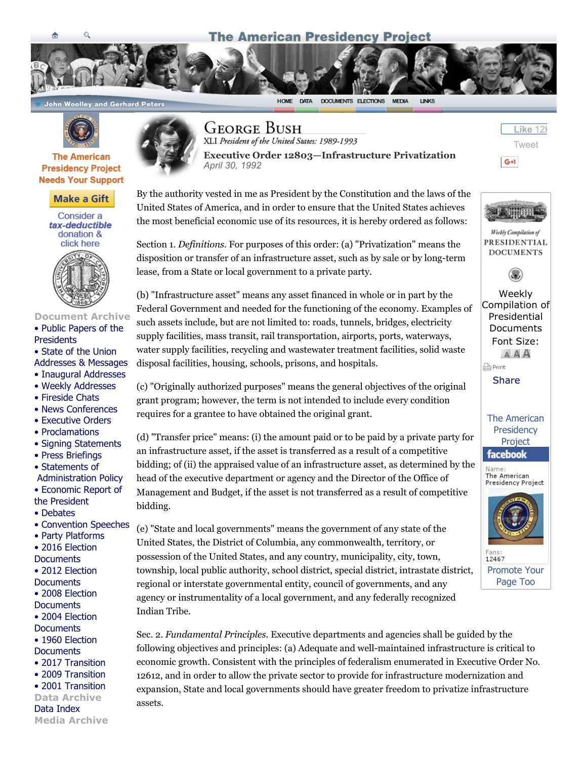# **The American Presidency Project**



畜



**John Woolley and Gerhard Peters** 



### **The American Presidency Project Needs Your Support**



Consider a tax-deductible donation & click here



#### [Document Archive](https://www.giveucsb.com/APP.htm) [• Public Papers of the](http://www.presidency.ucsb.edu/ws) **Presidents**

• State of the Union [Addresses & Messages](http://www.presidency.ucsb.edu/sou.php)

- [Inaugural Addresses](http://www.presidency.ucsb.edu/inaugurals.php)
- [Weekly Addresses](http://www.presidency.ucsb.edu/satradio.php)
- [Fireside Chats](http://www.presidency.ucsb.edu/fireside.php)
- [News Conferences](http://www.presidency.ucsb.edu/news_conferences.php)
- [Executive Orders](http://www.presidency.ucsb.edu/executive_orders.php)
- [Proclamations](http://www.presidency.ucsb.edu/proclamations.php)
- [Signing Statements](http://www.presidency.ucsb.edu/signingstatements.php)
- [Press Briefings](http://www.presidency.ucsb.edu/press_briefings.php)
- Statements of

 [Administration Policy](http://www.presidency.ucsb.edu/saps.php) [• Economic Report of](http://www.presidency.ucsb.edu/economic_reports.php)

- the President
- [Debates](http://www.presidency.ucsb.edu/debates.php)
- [Convention Speeches](http://www.presidency.ucsb.edu/nomination.php)
- [Party Platforms](http://www.presidency.ucsb.edu/platforms.php) [• 2016 Election](http://www.presidency.ucsb.edu/2016_election.php)
- **Documents**
- [2012 Election](http://www.presidency.ucsb.edu/2012_election.php)
- **Documents** [• 2008 Election](http://www.presidency.ucsb.edu/2008_election.php)
- **Documents**
- [2004 Election](http://www.presidency.ucsb.edu/2004_election.php)
- **Documents**
- [1960 Election](http://www.presidency.ucsb.edu/1960_election.php)
- **Documents** [• 2017 Transition](http://www.presidency.ucsb.edu/transition2017.php)
- [2009 Transition](http://www.presidency.ucsb.edu/transition2009.php)
- [2001 Transition](http://www.presidency.ucsb.edu/transition2001.php)
- Data Archive

[Data Index](http://www.presidency.ucsb.edu/data.php) Media Archive



**GEORGE BUSH** 

XLI President of the United States: 1989-1993



HOME DATA DOCUMENTS ELECTIONS MEDIA

LINKS

By the authority vested in me as President by the Constitution and the laws of the United States of America, and in order to ensure that the United States achieves the most beneficial economic use of its resources, it is hereby ordered as follows:

Section 1. *Definitions.* For purposes of this order: (a) "Privatization" means the disposition or transfer of an infrastructure asset, such as by sale or by long-term lease, from a State or local government to a private party.

(b) "Infrastructure asset" means any asset financed in whole or in part by the Federal Government and needed for the functioning of the economy. Examples of such assets include, but are not limited to: roads, tunnels, bridges, electricity supply facilities, mass transit, rail transportation, airports, ports, waterways, water supply facilities, recycling and wastewater treatment facilities, solid waste disposal facilities, housing, schools, prisons, and hospitals.

(c) "Originally authorized purposes" means the general objectives of the original grant program; however, the term is not intended to include every condition requires for a grantee to have obtained the original grant.

(d) "Transfer price" means: (i) the amount paid or to be paid by a private party for an infrastructure asset, if the asset is transferred as a result of a competitive bidding; of (ii) the appraised value of an infrastructure asset, as determined by the head of the executive department or agency and the Director of the Office of Management and Budget, if the asset is not transferred as a result of competitive bidding.

(e) "State and local governments" means the government of any state of the United States, the District of Columbia, any commonwealth, territory, or possession of the United States, and any country, municipality, city, town, township, local public authority, school district, special district, intrastate district, regional or interstate governmental entity, council of governments, and any agency or instrumentality of a local government, and any federally recognized Indian Tribe.

Sec. 2. *Fundamental Principles.* Executive departments and agencies shall be guided by the following objectives and principles: (a) Adequate and well-maintained infrastructure is critical to economic growth. Consistent with the principles of federalism enumerated in Executive Order No. 12612, and in order to allow the private sector to provide for infrastructure modernization and expansion, State and local governments should have greater freedom to privatize infrastructure assets.





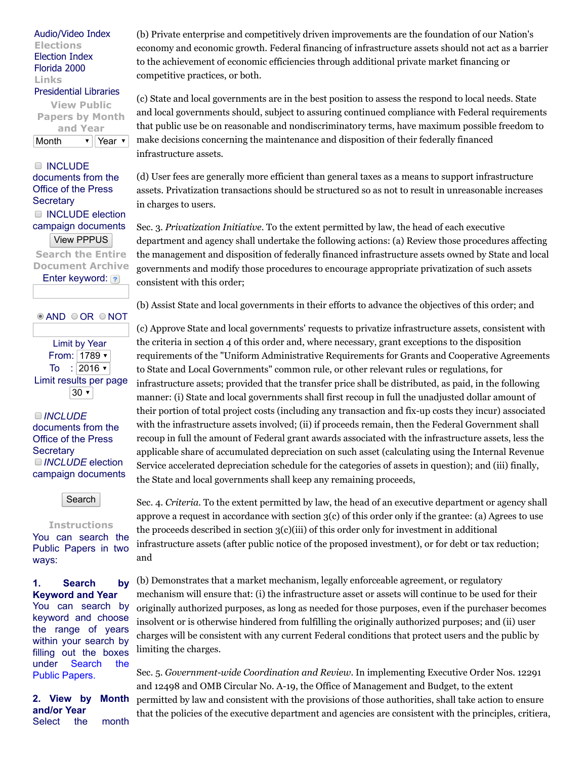### [Audio/Video Index](http://www.presidency.ucsb.edu/media.php) Elections [Election Index](http://www.presidency.ucsb.edu/elections.php) [Florida 2000](http://www.presidency.ucsb.edu/florida2000.php) Links [Presidential Libraries](http://www.presidency.ucsb.edu/libraries.php)

View Public Papers by Month and Year Month  $\mathbf{v}$  Year  $\mathbf{v}$ 

**INCLUDE** documents from the Office of the Press **Secretary** INCLUDE election campaign documents View PPPUS Search the Entire

Document Archive Enter keyword: ?

**© AND ○OR ○NOT** 

Limit by Year From:  $1789$   $\overline{ }$ To : 2016  $\sqrt{ }$ Limit results per page  $30 -$ 

INCLUDE documents from the Office of the Press **Secretary** INCLUDE election campaign documents

Search

#### **Instructions**

You can search the Public Papers in two ways:

## 1. Search by Keyword and Year

You can search by keyword and choose the range of years within your search by filling out the boxes under Search the Public Papers.

2. View by Month and/or Year Select the month

(b) Private enterprise and competitively driven improvements are the foundation of our Nation's economy and economic growth. Federal financing of infrastructure assets should not act as a barrier to the achievement of economic efficiencies through additional private market financing or competitive practices, or both.

(c) State and local governments are in the best position to assess the respond to local needs. State and local governments should, subject to assuring continued compliance with Federal requirements that public use be on reasonable and nondiscriminatory terms, have maximum possible freedom to make decisions concerning the maintenance and disposition of their federally financed infrastructure assets.

(d) User fees are generally more efficient than general taxes as a means to support infrastructure assets. Privatization transactions should be structured so as not to result in unreasonable increases in charges to users.

Sec. 3. *Privatization Initiative.* To the extent permitted by law, the head of each executive department and agency shall undertake the following actions: (a) Review those procedures affecting the management and disposition of federally financed infrastructure assets owned by State and local governments and modify those procedures to encourage appropriate privatization of such assets consistent with this order;

(b) Assist State and local governments in their efforts to advance the objectives of this order; and

(c) Approve State and local governments' requests to privatize infrastructure assets, consistent with the criteria in section 4 of this order and, where necessary, grant exceptions to the disposition requirements of the "Uniform Administrative Requirements for Grants and Cooperative Agreements to State and Local Governments" common rule, or other relevant rules or regulations, for infrastructure assets; provided that the transfer price shall be distributed, as paid, in the following manner: (i) State and local governments shall first recoup in full the unadjusted dollar amount of their portion of total project costs (including any transaction and fix-up costs they incur) associated with the infrastructure assets involved; (ii) if proceeds remain, then the Federal Government shall recoup in full the amount of Federal grant awards associated with the infrastructure assets, less the applicable share of accumulated depreciation on such asset (calculating using the Internal Revenue Service accelerated depreciation schedule for the categories of assets in question); and (iii) finally, the State and local governments shall keep any remaining proceeds,

Sec. 4. *Criteria.* To the extent permitted by law, the head of an executive department or agency shall approve a request in accordance with section  $3(c)$  of this order only if the grantee: (a) Agrees to use the proceeds described in section 3(c)(iii) of this order only for investment in additional infrastructure assets (after public notice of the proposed investment), or for debt or tax reduction; and

(b) Demonstrates that a market mechanism, legally enforceable agreement, or regulatory mechanism will ensure that: (i) the infrastructure asset or assets will continue to be used for their originally authorized purposes, as long as needed for those purposes, even if the purchaser becomes insolvent or is otherwise hindered from fulfilling the originally authorized purposes; and (ii) user charges will be consistent with any current Federal conditions that protect users and the public by limiting the charges.

Sec. 5. *Government-wide Coordination and Review*. In implementing Executive Order Nos. 12291 and 12498 and OMB Circular No. A-19, the Office of Management and Budget, to the extent permitted by law and consistent with the provisions of those authorities, shall take action to ensure that the policies of the executive department and agencies are consistent with the principles, critiera,